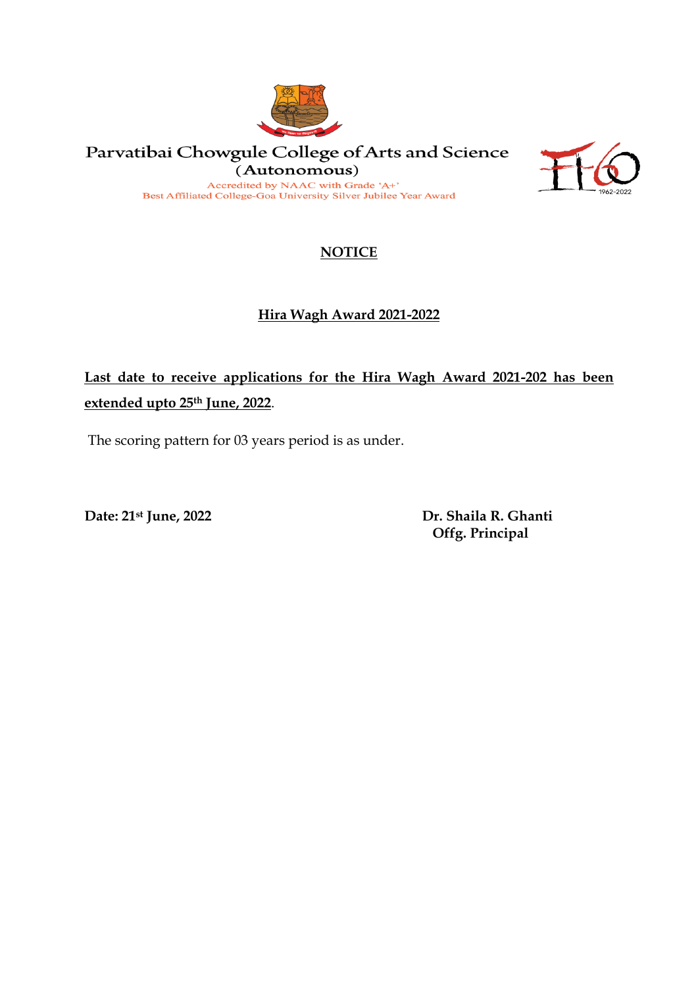

Parvatibai Chowgule College of Arts and Science (Autonomous) Accredited by NAAC with Grade 'A+'

Best Affiliated College-Goa University Silver Jubilee Year Award



## **NOTICE**

## **Hira Wagh Award 2021-2022**

## **Last date to receive applications for the Hira Wagh Award 2021-202 has been extended upto 25th June, 2022**.

The scoring pattern for 03 years period is as under.

**Date: 21st June, 2022 Dr. Shaila R. Ghanti Offg. Principal**